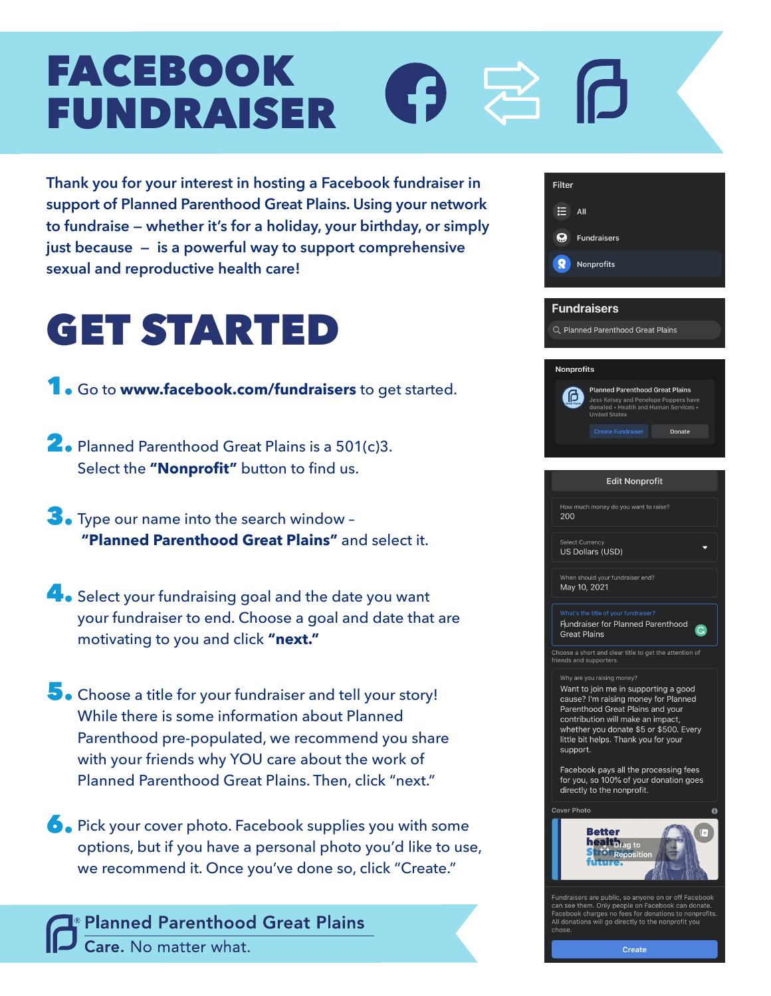### FACEBOOK  $\bullet$ FUNDRAISER

**Thank you for your interest in hosting a Facebook fundraiser in support of Planned Parenthood Great Plains. Using your network to fundraise — whether it's for a holiday, your birthday, or simply just because — is a powerful way to support comprehensive sexual and reproductive health care!** 

# GET STARTED

1. Go to **www.facebook.com/fundraisers** to get started.

- 2. Planned Parenthood Great Plains is a 501(c)3. Select the **"Nonprofit"** button to find us.
- 3. Type our name into the search window **"Planned Parenthood Great Plains"** and select it.
- 4. Select your fundraising goal and the date you want your fundraiser to end. Choose a goal and date that are motivating to you and click **"next."**
- 5. Choose a title for your fundraiser and tell your story! While there is some information about Planned Parenthood pre-populated, we recommend you share with your friends why YOU care about the work of Planned Parenthood Great Plains. Then, click "next."
- **6.** Pick your cover photo. Facebook supplies you with some options, but if you have a personal photo you'd like to use, we recommend it. Once you've done so, click "Create."

**Planned Parenthood Great Plains** Care, No matter what.

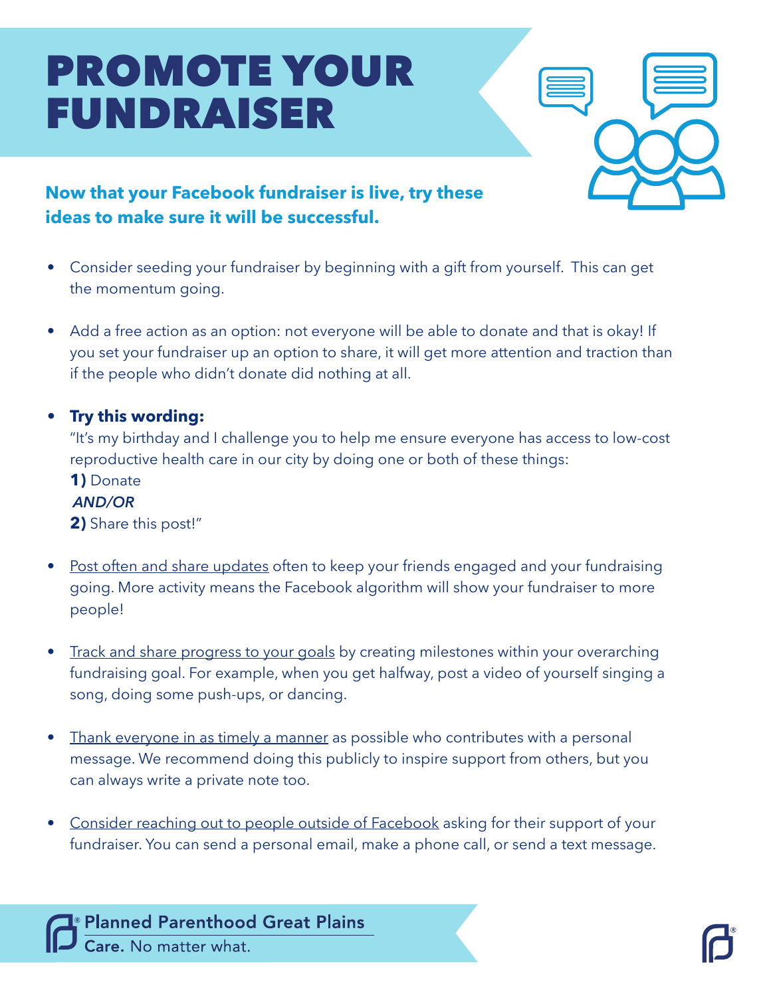## PROMOTE YOUR FUNDRAISER

#### **Now that your Facebook fundraiser is live, try these ideas to make sure it will be successful.**

- Consider seeding your fundraiser by beginning with a gift from yourself. This can get the momentum going.
- Add a free action as an option: not everyone will be able to donate and that is okay! If you set your fundraiser up an option to share, it will get more attention and traction than if the people who didn't donate did nothing at all.

#### **• Try this wording:**

"It's my birthday and I challenge you to help me ensure everyone has access to low-cost reproductive health care in our city by doing one or both of these things:

#### **1)** Donate  *AND/OR*

**2)** Share this post!"

- **Post often and share updates often to keep your friends engaged and your fundraising** going. More activity means the Facebook algorithm will show your fundraiser to more people!
- Track and share progress to your goals by creating milestones within your overarching fundraising goal. For example, when you get halfway, post a video of yourself singing a song, doing some push-ups, or dancing.
- Thank everyone in as timely a manner as possible who contributes with a personal message. We recommend doing this publicly to inspire support from others, but you can always write a private note too.
- Consider reaching out to people outside of Facebook asking for their support of your fundraiser. You can send a personal email, make a phone call, or send a text message.